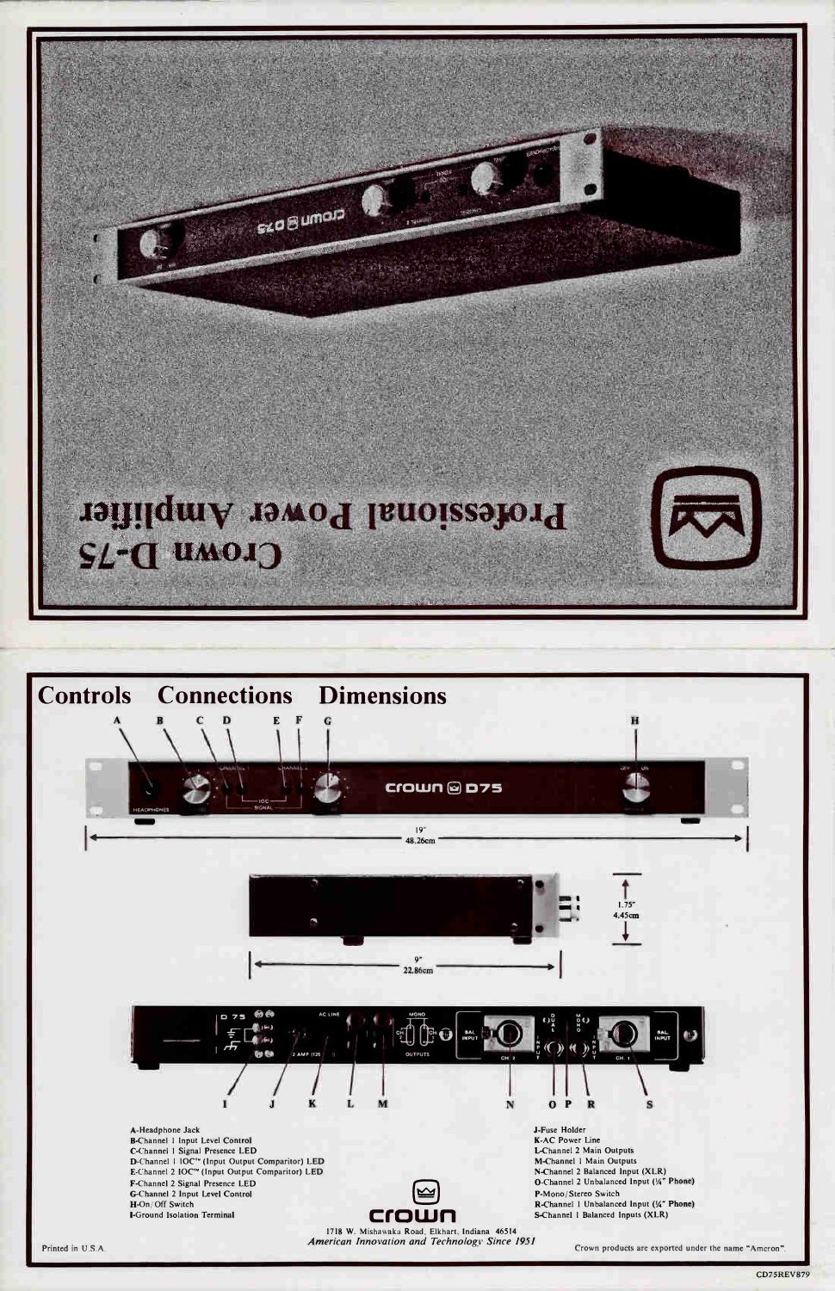







A-Headphone Jack B-Channel 1 Input Level Control C-Channel 1 Signal Presence LED D-Channel 1 IOC<sup>T\*</sup> (Input Output Comparitor) LED<br>E-Channel 2 IOC<sup>T\*</sup> (Input Output Comparitor) LED F-Channel 2 Signal Presence LED G-Channel 2 Input Level Control H-On/Off Switch **I-Ground Isolation Terminal** 



1718 W. Mishawaka Road, Elkhart, Indiana 46514 American Innovation and Technology Since 1951

J-Fuse Holder **K-AC Power Line** L-Channel 2 Main Outputs M-Channel 1 Main Outputs N-Channel 2 Balanced Input (XLR) O-Channel 2 Unbalanced Input (1/4" Phone) P-Mono/Stereo Switch R-Channel 1 Unbalanced Input (1/4" Phone) S-Channel 1 Balanced Inputs (XLR)

Crown products are exported under the name "Amcron".

#### Printed in U.S.A.

#### **CD75REV879**